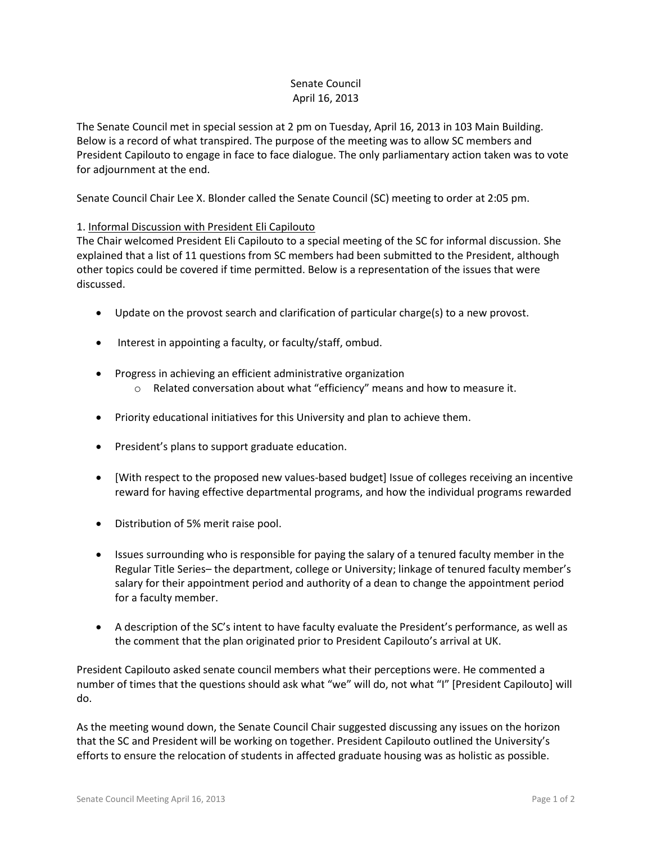## Senate Council April 16, 2013

The Senate Council met in special session at 2 pm on Tuesday, April 16, 2013 in 103 Main Building. Below is a record of what transpired. The purpose of the meeting was to allow SC members and President Capilouto to engage in face to face dialogue. The only parliamentary action taken was to vote for adjournment at the end.

Senate Council Chair Lee X. Blonder called the Senate Council (SC) meeting to order at 2:05 pm.

## 1. Informal Discussion with President Eli Capilouto

The Chair welcomed President Eli Capilouto to a special meeting of the SC for informal discussion. She explained that a list of 11 questions from SC members had been submitted to the President, although other topics could be covered if time permitted. Below is a representation of the issues that were discussed.

- Update on the provost search and clarification of particular charge(s) to a new provost.
- Interest in appointing a faculty, or faculty/staff, ombud.
- Progress in achieving an efficient administrative organization
	- o Related conversation about what "efficiency" means and how to measure it.
- Priority educational initiatives for this University and plan to achieve them.
- President's plans to support graduate education.
- [With respect to the proposed new values-based budget] Issue of colleges receiving an incentive reward for having effective departmental programs, and how the individual programs rewarded
- Distribution of 5% merit raise pool.
- Issues surrounding who is responsible for paying the salary of a tenured faculty member in the Regular Title Series– the department, college or University; linkage of tenured faculty member's salary for their appointment period and authority of a dean to change the appointment period for a faculty member.
- A description of the SC's intent to have faculty evaluate the President's performance, as well as the comment that the plan originated prior to President Capilouto's arrival at UK.

President Capilouto asked senate council members what their perceptions were. He commented a number of times that the questions should ask what "we" will do, not what "I" [President Capilouto] will do.

As the meeting wound down, the Senate Council Chair suggested discussing any issues on the horizon that the SC and President will be working on together. President Capilouto outlined the University's efforts to ensure the relocation of students in affected graduate housing was as holistic as possible.